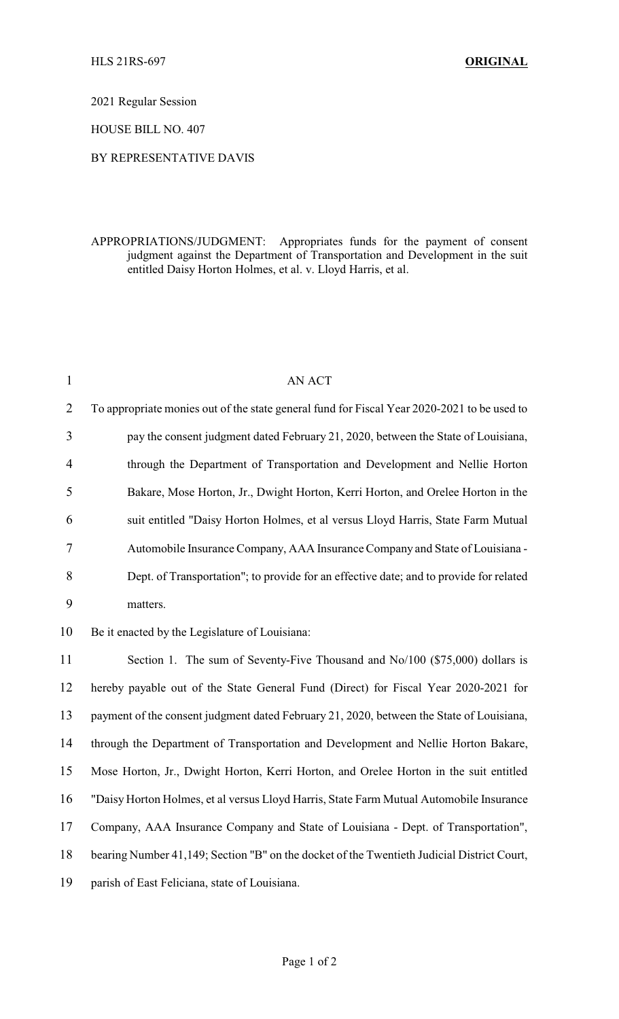2021 Regular Session

HOUSE BILL NO. 407

## BY REPRESENTATIVE DAVIS

## APPROPRIATIONS/JUDGMENT: Appropriates funds for the payment of consent judgment against the Department of Transportation and Development in the suit entitled Daisy Horton Holmes, et al. v. Lloyd Harris, et al.

| $\mathbf{1}$   | AN ACT                                                                                      |
|----------------|---------------------------------------------------------------------------------------------|
| $\overline{2}$ | To appropriate monies out of the state general fund for Fiscal Year 2020-2021 to be used to |
| 3              | pay the consent judgment dated February 21, 2020, between the State of Louisiana,           |
| 4              | through the Department of Transportation and Development and Nellie Horton                  |
| 5              | Bakare, Mose Horton, Jr., Dwight Horton, Kerri Horton, and Orelee Horton in the             |
| 6              | suit entitled "Daisy Horton Holmes, et al versus Lloyd Harris, State Farm Mutual            |
| 7              | Automobile Insurance Company, AAA Insurance Company and State of Louisiana -                |
| 8              | Dept. of Transportation"; to provide for an effective date; and to provide for related      |
| 9              | matters.                                                                                    |
| 10             | Be it enacted by the Legislature of Louisiana:                                              |
| 11             | Section 1. The sum of Seventy-Five Thousand and No/100 (\$75,000) dollars is                |
| 12             | hereby payable out of the State General Fund (Direct) for Fiscal Year 2020-2021 for         |
| 13             | payment of the consent judgment dated February 21, 2020, between the State of Louisiana,    |
| 14             | through the Department of Transportation and Development and Nellie Horton Bakare,          |
| 15             | Mose Horton, Jr., Dwight Horton, Kerri Horton, and Orelee Horton in the suit entitled       |
| 16             | "Daisy Horton Holmes, et al versus Lloyd Harris, State Farm Mutual Automobile Insurance     |
| 17             | Company, AAA Insurance Company and State of Louisiana - Dept. of Transportation",           |
| 18             | bearing Number 41,149; Section "B" on the docket of the Twentieth Judicial District Court,  |
| 19             | parish of East Feliciana, state of Louisiana.                                               |
|                |                                                                                             |